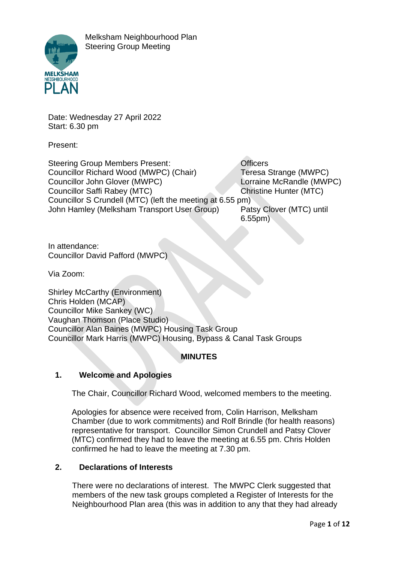

Date: Wednesday 27 April 2022 Start: 6.30 pm

Present:

Steering Group Members Present: **Constant Constant Constant** Officers Councillor Richard Wood (MWPC) (Chair) Teresa Strange (MWPC) Councillor John Glover (MWPC) Lorraine McRandle (MWPC) Councillor Saffi Rabey (MTC) Christine Hunter (MTC) Councillor S Crundell (MTC) (left the meeting at 6.55 pm) John Hamley (Melksham Transport User Group) Patsy Clover (MTC) until 6.55pm)

In attendance: Councillor David Pafford (MWPC)

Via Zoom:

Shirley McCarthy (Environment) Chris Holden (MCAP) Councillor Mike Sankey (WC) Vaughan Thomson (Place Studio) Councillor Alan Baines (MWPC) Housing Task Group Councillor Mark Harris (MWPC) Housing, Bypass & Canal Task Groups

# **MINUTES**

## **1. Welcome and Apologies**

The Chair, Councillor Richard Wood, welcomed members to the meeting.

Apologies for absence were received from, Colin Harrison, Melksham Chamber (due to work commitments) and Rolf Brindle (for health reasons) representative for transport. Councillor Simon Crundell and Patsy Clover (MTC) confirmed they had to leave the meeting at 6.55 pm. Chris Holden confirmed he had to leave the meeting at 7.30 pm.

## **2. Declarations of Interests**

There were no declarations of interest. The MWPC Clerk suggested that members of the new task groups completed a Register of Interests for the Neighbourhood Plan area (this was in addition to any that they had already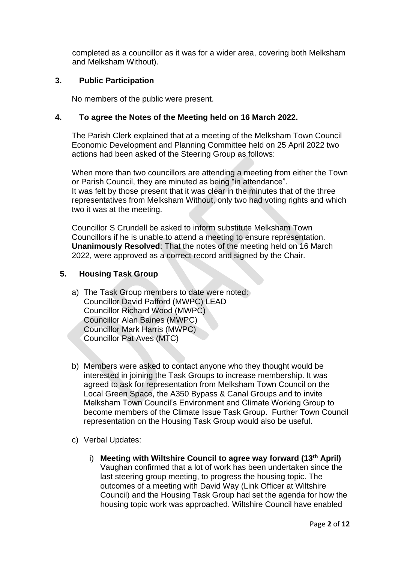completed as a councillor as it was for a wider area, covering both Melksham and Melksham Without).

### **3. Public Participation**

No members of the public were present.

### **4. To agree the Notes of the Meeting held on 16 March 2022.**

The Parish Clerk explained that at a meeting of the Melksham Town Council Economic Development and Planning Committee held on 25 April 2022 two actions had been asked of the Steering Group as follows:

When more than two councillors are attending a meeting from either the Town or Parish Council, they are minuted as being "in attendance". It was felt by those present that it was clear in the minutes that of the three representatives from Melksham Without, only two had voting rights and which two it was at the meeting.

Councillor S Crundell be asked to inform substitute Melksham Town Councillors if he is unable to attend a meeting to ensure representation. **Unanimously Resolved**: That the notes of the meeting held on 16 March 2022, were approved as a correct record and signed by the Chair.

## **5. Housing Task Group**

- a) The Task Group members to date were noted: Councillor David Pafford (MWPC) LEAD Councillor Richard Wood (MWPC) Councillor Alan Baines (MWPC) Councillor Mark Harris (MWPC) Councillor Pat Aves (MTC)
- b) Members were asked to contact anyone who they thought would be interested in joining the Task Groups to increase membership. It was agreed to ask for representation from Melksham Town Council on the Local Green Space, the A350 Bypass & Canal Groups and to invite Melksham Town Council's Environment and Climate Working Group to become members of the Climate Issue Task Group. Further Town Council representation on the Housing Task Group would also be useful.
- c) Verbal Updates:
	- i) **Meeting with Wiltshire Council to agree way forward (13th April)**  Vaughan confirmed that a lot of work has been undertaken since the last steering group meeting, to progress the housing topic. The outcomes of a meeting with David Way (Link Officer at Wiltshire Council) and the Housing Task Group had set the agenda for how the housing topic work was approached. Wiltshire Council have enabled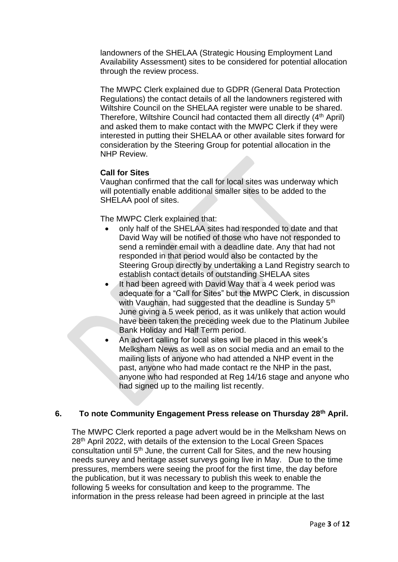landowners of the SHELAA (Strategic Housing Employment Land Availability Assessment) sites to be considered for potential allocation through the review process.

The MWPC Clerk explained due to GDPR (General Data Protection Regulations) the contact details of all the landowners registered with Wiltshire Council on the SHELAA register were unable to be shared. Therefore, Wiltshire Council had contacted them all directly (4<sup>th</sup> April) and asked them to make contact with the MWPC Clerk if they were interested in putting their SHELAA or other available sites forward for consideration by the Steering Group for potential allocation in the NHP Review.

### **Call for Sites**

Vaughan confirmed that the call for local sites was underway which will potentially enable additional smaller sites to be added to the SHELAA pool of sites.

The MWPC Clerk explained that:

- only half of the SHELAA sites had responded to date and that David Way will be notified of those who have not responded to send a reminder email with a deadline date. Any that had not responded in that period would also be contacted by the Steering Group directly by undertaking a Land Registry search to establish contact details of outstanding SHELAA sites
- It had been agreed with David Way that a 4 week period was adequate for a "Call for Sites" but the MWPC Clerk, in discussion with Vaughan, had suggested that the deadline is Sunday 5<sup>th</sup> June giving a 5 week period, as it was unlikely that action would have been taken the preceding week due to the Platinum Jubilee Bank Holiday and Half Term period.
- An advert calling for local sites will be placed in this week's Melksham News as well as on social media and an email to the mailing lists of anyone who had attended a NHP event in the past, anyone who had made contact re the NHP in the past, anyone who had responded at Reg 14/16 stage and anyone who had signed up to the mailing list recently.

#### **6. To note Community Engagement Press release on Thursday 28th April.**

The MWPC Clerk reported a page advert would be in the Melksham News on 28<sup>th</sup> April 2022, with details of the extension to the Local Green Spaces consultation until 5<sup>th</sup> June, the current Call for Sites, and the new housing needs survey and heritage asset surveys going live in May. Due to the time pressures, members were seeing the proof for the first time, the day before the publication, but it was necessary to publish this week to enable the following 5 weeks for consultation and keep to the programme. The information in the press release had been agreed in principle at the last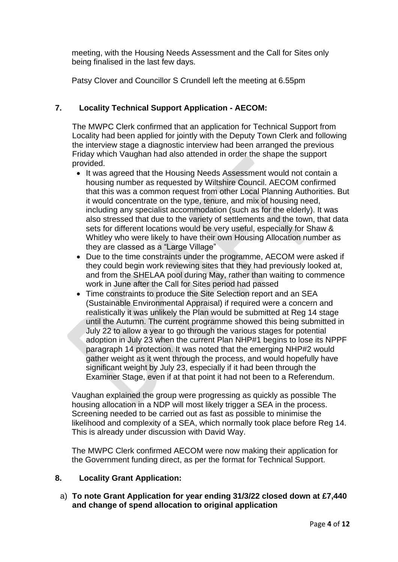meeting, with the Housing Needs Assessment and the Call for Sites only being finalised in the last few days.

Patsy Clover and Councillor S Crundell left the meeting at 6.55pm

# **7. Locality Technical Support Application - AECOM:**

The MWPC Clerk confirmed that an application for Technical Support from Locality had been applied for jointly with the Deputy Town Clerk and following the interview stage a diagnostic interview had been arranged the previous Friday which Vaughan had also attended in order the shape the support provided.

- It was agreed that the Housing Needs Assessment would not contain a housing number as requested by Wiltshire Council. AECOM confirmed that this was a common request from other Local Planning Authorities. But it would concentrate on the type, tenure, and mix of housing need, including any specialist accommodation (such as for the elderly). It was also stressed that due to the variety of settlements and the town, that data sets for different locations would be very useful, especially for Shaw & Whitley who were likely to have their own Housing Allocation number as they are classed as a "Large Village"
- Due to the time constraints under the programme, AECOM were asked if they could begin work reviewing sites that they had previously looked at, and from the SHELAA pool during May, rather than waiting to commence work in June after the Call for Sites period had passed
- Time constraints to produce the Site Selection report and an SEA (Sustainable Environmental Appraisal) if required were a concern and realistically it was unlikely the Plan would be submitted at Reg 14 stage until the Autumn. The current programme showed this being submitted in July 22 to allow a year to go through the various stages for potential adoption in July 23 when the current Plan NHP#1 begins to lose its NPPF paragraph 14 protection. It was noted that the emerging NHP#2 would gather weight as it went through the process, and would hopefully have significant weight by July 23, especially if it had been through the Examiner Stage, even if at that point it had not been to a Referendum.

Vaughan explained the group were progressing as quickly as possible The housing allocation in a NDP will most likely trigger a SEA in the process. Screening needed to be carried out as fast as possible to minimise the likelihood and complexity of a SEA, which normally took place before Reg 14. This is already under discussion with David Way.

The MWPC Clerk confirmed AECOM were now making their application for the Government funding direct, as per the format for Technical Support.

#### **8. Locality Grant Application:**

a) **To note Grant Application for year ending 31/3/22 closed down at £7,440 and change of spend allocation to original application**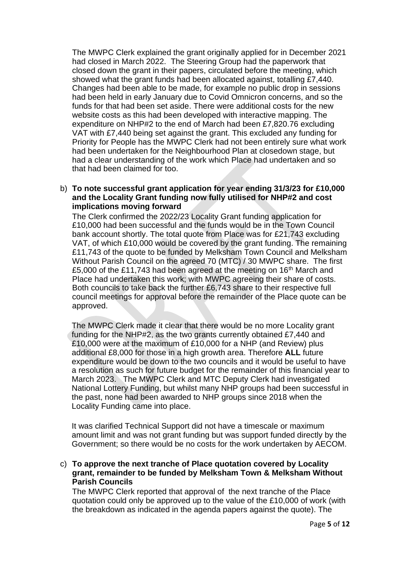The MWPC Clerk explained the grant originally applied for in December 2021 had closed in March 2022. The Steering Group had the paperwork that closed down the grant in their papers, circulated before the meeting, which showed what the grant funds had been allocated against, totalling £7,440. Changes had been able to be made, for example no public drop in sessions had been held in early January due to Covid Omnicron concerns, and so the funds for that had been set aside. There were additional costs for the new website costs as this had been developed with interactive mapping. The expenditure on NHP#2 to the end of March had been £7,820.76 excluding VAT with £7,440 being set against the grant. This excluded any funding for Priority for People has the MWPC Clerk had not been entirely sure what work had been undertaken for the Neighbourhood Plan at closedown stage, but had a clear understanding of the work which Place had undertaken and so that had been claimed for too.

#### b) **To note successful grant application for year ending 31/3/23 for £10,000 and the Locality Grant funding now fully utilised for NHP#2 and cost implications moving forward**

The Clerk confirmed the 2022/23 Locality Grant funding application for £10,000 had been successful and the funds would be in the Town Council bank account shortly. The total quote from Place was for £21,743 excluding VAT, of which £10,000 would be covered by the grant funding. The remaining £11,743 of the quote to be funded by Melksham Town Council and Melksham Without Parish Council on the agreed 70 (MTC) / 30 MWPC share. The first £5,000 of the £11,743 had been agreed at the meeting on 16<sup>th</sup> March and Place had undertaken this work; with MWPC agreeing their share of costs. Both councils to take back the further £6,743 share to their respective full council meetings for approval before the remainder of the Place quote can be approved.

The MWPC Clerk made it clear that there would be no more Locality grant funding for the NHP#2, as the two grants currently obtained £7,440 and £10,000 were at the maximum of £10,000 for a NHP (and Review) plus additional £8,000 for those in a high growth area. Therefore **ALL** future expenditure would be down to the two councils and it would be useful to have a resolution as such for future budget for the remainder of this financial year to March 2023. The MWPC Clerk and MTC Deputy Clerk had investigated National Lottery Funding, but whilst many NHP groups had been successful in the past, none had been awarded to NHP groups since 2018 when the Locality Funding came into place.

It was clarified Technical Support did not have a timescale or maximum amount limit and was not grant funding but was support funded directly by the Government; so there would be no costs for the work undertaken by AECOM.

c) **To approve the next tranche of Place quotation covered by Locality grant, remainder to be funded by Melksham Town & Melksham Without Parish Councils**

The MWPC Clerk reported that approval of the next tranche of the Place quotation could only be approved up to the value of the £10,000 of work (with the breakdown as indicated in the agenda papers against the quote). The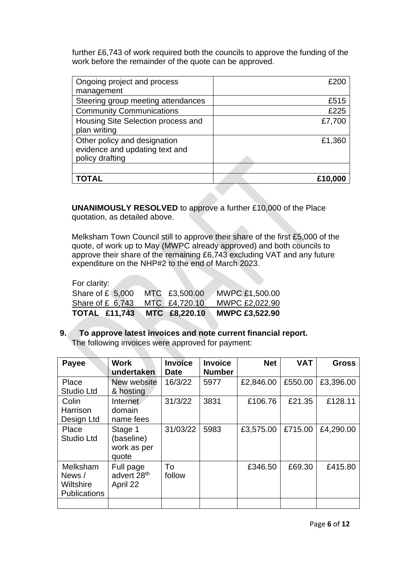further £6,743 of work required both the councils to approve the funding of the work before the remainder of the quote can be approved.

| Ongoing project and process<br>management                                         | £20C    |
|-----------------------------------------------------------------------------------|---------|
| Steering group meeting attendances                                                | £515    |
| <b>Community Communications</b>                                                   | £225    |
| Housing Site Selection process and<br>plan writing                                | £7,700  |
| Other policy and designation<br>evidence and updating text and<br>policy drafting | £1,360  |
|                                                                                   |         |
|                                                                                   | £10,000 |

**UNANIMOUSLY RESOLVED** to approve a further £10,000 of the Place quotation, as detailed above.

Melksham Town Council still to approve their share of the first £5,000 of the quote, of work up to May (MWPC already approved) and both councils to approve their share of the remaining £6,743 excluding VAT and any future expenditure on the NHP#2 to the end of March 2023.

| For clarity:         |               |                       |
|----------------------|---------------|-----------------------|
| Share of $£$ (5,000) | MTC £3,500.00 | <b>MWPC £1,500.00</b> |
| Share of $£$ 6,743   | MTC £4,720.10 | MWPC £2,022.90        |
| <b>TOTAL £11,743</b> | MTC £8,220.10 | <b>MWPC £3,522.90</b> |

### **9. To approve latest invoices and note current financial report.**  The following invoices were approved for payment:

| <b>Payee</b>                                           | Work<br>undertaken                               | <b>Invoice</b><br><b>Date</b> | <b>Invoice</b><br><b>Number</b> | <b>Net</b> | <b>VAT</b> | <b>Gross</b> |
|--------------------------------------------------------|--------------------------------------------------|-------------------------------|---------------------------------|------------|------------|--------------|
| Place<br><b>Studio Ltd</b>                             | New website<br>& hosting                         | 16/3/22                       | 5977                            | £2,846.00  | £550.00    | £3,396.00    |
| Colin<br>Harrison<br>Design Ltd                        | Internet<br>domain<br>name fees                  | 31/3/22                       | 3831                            | £106.76    | £21.35     | £128.11      |
| Place<br><b>Studio Ltd</b>                             | Stage 1<br>(baseline)<br>work as per<br>quote    | 31/03/22                      | 5983                            | £3,575.00  | £715.00    | £4,290.00    |
| Melksham<br>News /<br>Wiltshire<br><b>Publications</b> | Full page<br>advert 28 <sup>th</sup><br>April 22 | To<br>follow                  |                                 | £346.50    | £69.30     | £415.80      |
|                                                        |                                                  |                               |                                 |            |            |              |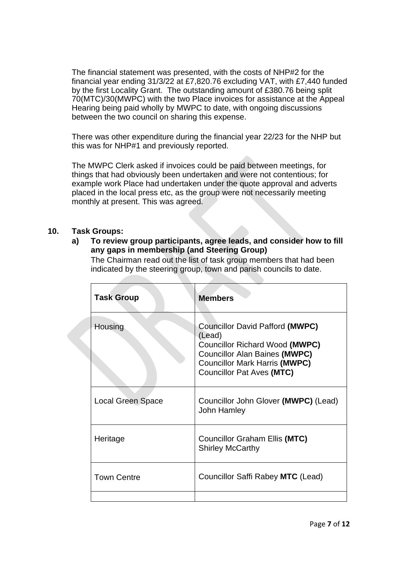The financial statement was presented, with the costs of NHP#2 for the financial year ending 31/3/22 at £7,820.76 excluding VAT, with £7,440 funded by the first Locality Grant. The outstanding amount of £380.76 being split 70(MTC)/30(MWPC) with the two Place invoices for assistance at the Appeal Hearing being paid wholly by MWPC to date, with ongoing discussions between the two council on sharing this expense.

There was other expenditure during the financial year 22/23 for the NHP but this was for NHP#1 and previously reported.

The MWPC Clerk asked if invoices could be paid between meetings, for things that had obviously been undertaken and were not contentious; for example work Place had undertaken under the quote approval and adverts placed in the local press etc, as the group were not necessarily meeting monthly at present. This was agreed.

#### **10. Task Groups:**

**a) To review group participants, agree leads, and consider how to fill any gaps in membership (and Steering Group)**

The Chairman read out the list of task group members that had been indicated by the steering group, town and parish councils to date.

| <b>Task Group</b>        | <b>Members</b>                                                                                                                                                                                  |
|--------------------------|-------------------------------------------------------------------------------------------------------------------------------------------------------------------------------------------------|
| Housing                  | Councillor David Pafford (MWPC)<br>(Lead)<br>Councillor Richard Wood (MWPC)<br><b>Councillor Alan Baines (MWPC)</b><br><b>Councillor Mark Harris (MWPC)</b><br><b>Councillor Pat Aves (MTC)</b> |
| <b>Local Green Space</b> | Councillor John Glover (MWPC) (Lead)<br><b>John Hamley</b>                                                                                                                                      |
| Heritage                 | Councillor Graham Ellis (MTC)<br><b>Shirley McCarthy</b>                                                                                                                                        |
| <b>Town Centre</b>       | Councillor Saffi Rabey MTC (Lead)                                                                                                                                                               |
|                          |                                                                                                                                                                                                 |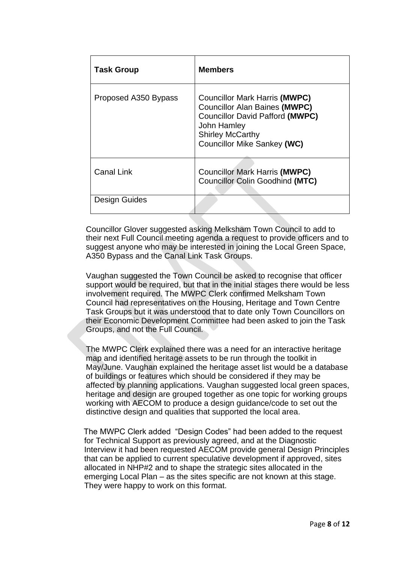| <b>Task Group</b>    | <b>Members</b>                                                                                                                                                                                         |
|----------------------|--------------------------------------------------------------------------------------------------------------------------------------------------------------------------------------------------------|
| Proposed A350 Bypass | <b>Councillor Mark Harris (MWPC)</b><br><b>Councillor Alan Baines (MWPC)</b><br><b>Councillor David Pafford (MWPC)</b><br>John Hamley<br><b>Shirley McCarthy</b><br><b>Councillor Mike Sankey (WC)</b> |
| <b>Canal Link</b>    | <b>Councillor Mark Harris (MWPC)</b><br><b>Councillor Colin Goodhind (MTC)</b>                                                                                                                         |
| Design Guides        |                                                                                                                                                                                                        |

Councillor Glover suggested asking Melksham Town Council to add to their next Full Council meeting agenda a request to provide officers and to suggest anyone who may be interested in joining the Local Green Space, A350 Bypass and the Canal Link Task Groups.

Vaughan suggested the Town Council be asked to recognise that officer support would be required, but that in the initial stages there would be less involvement required. The MWPC Clerk confirmed Melksham Town Council had representatives on the Housing, Heritage and Town Centre Task Groups but it was understood that to date only Town Councillors on their Economic Development Committee had been asked to join the Task Groups, and not the Full Council.

The MWPC Clerk explained there was a need for an interactive heritage map and identified heritage assets to be run through the toolkit in May/June. Vaughan explained the heritage asset list would be a database of buildings or features which should be considered if they may be affected by planning applications. Vaughan suggested local green spaces, heritage and design are grouped together as one topic for working groups working with AECOM to produce a design guidance/code to set out the distinctive design and qualities that supported the local area.

The MWPC Clerk added "Design Codes" had been added to the request for Technical Support as previously agreed, and at the Diagnostic Interview it had been requested AECOM provide general Design Principles that can be applied to current speculative development if approved, sites allocated in NHP#2 and to shape the strategic sites allocated in the emerging Local Plan – as the sites specific are not known at this stage. They were happy to work on this format.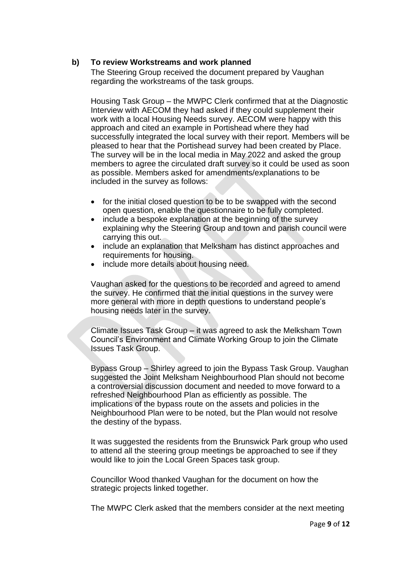#### **b) To review Workstreams and work planned**

The Steering Group received the document prepared by Vaughan regarding the workstreams of the task groups.

Housing Task Group – the MWPC Clerk confirmed that at the Diagnostic Interview with AECOM they had asked if they could supplement their work with a local Housing Needs survey. AECOM were happy with this approach and cited an example in Portishead where they had successfully integrated the local survey with their report. Members will be pleased to hear that the Portishead survey had been created by Place. The survey will be in the local media in May 2022 and asked the group members to agree the circulated draft survey so it could be used as soon as possible. Members asked for amendments/explanations to be included in the survey as follows:

- for the initial closed question to be to be swapped with the second open question, enable the questionnaire to be fully completed.
- include a bespoke explanation at the beginning of the survey explaining why the Steering Group and town and parish council were carrying this out.
- include an explanation that Melksham has distinct approaches and requirements for housing.
- include more details about housing need.

Vaughan asked for the questions to be recorded and agreed to amend the survey. He confirmed that the initial questions in the survey were more general with more in depth questions to understand people's housing needs later in the survey.

Climate Issues Task Group – it was agreed to ask the Melksham Town Council's Environment and Climate Working Group to join the Climate Issues Task Group.

Bypass Group – Shirley agreed to join the Bypass Task Group. Vaughan suggested the Joint Melksham Neighbourhood Plan should not become a controversial discussion document and needed to move forward to a refreshed Neighbourhood Plan as efficiently as possible. The implications of the bypass route on the assets and policies in the Neighbourhood Plan were to be noted, but the Plan would not resolve the destiny of the bypass.

It was suggested the residents from the Brunswick Park group who used to attend all the steering group meetings be approached to see if they would like to join the Local Green Spaces task group.

Councillor Wood thanked Vaughan for the document on how the strategic projects linked together.

The MWPC Clerk asked that the members consider at the next meeting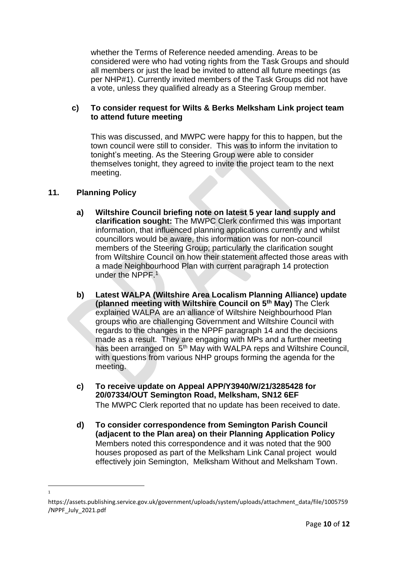whether the Terms of Reference needed amending. Areas to be considered were who had voting rights from the Task Groups and should all members or just the lead be invited to attend all future meetings (as per NHP#1). Currently invited members of the Task Groups did not have a vote, unless they qualified already as a Steering Group member.

#### **c) To consider request for Wilts & Berks Melksham Link project team to attend future meeting**

This was discussed, and MWPC were happy for this to happen, but the town council were still to consider. This was to inform the invitation to tonight's meeting. As the Steering Group were able to consider themselves tonight, they agreed to invite the project team to the next meeting.

#### **11. Planning Policy**

1

- **a) Wiltshire Council briefing note on latest 5 year land supply and clarification sought:** The MWPC Clerk confirmed this was important information, that influenced planning applications currently and whilst councillors would be aware, this information was for non-council members of the Steering Group; particularly the clarification sought from Wiltshire Council on how their statement affected those areas with a made Neighbourhood Plan with current paragraph 14 protection under the NPPF.<sup>1</sup>
- **b) Latest WALPA (Wiltshire Area Localism Planning Alliance) update (planned meeting with Wiltshire Council on 5th May)** The Clerk explained WALPA are an alliance of Wiltshire Neighbourhood Plan groups who are challenging Government and Wiltshire Council with regards to the changes in the NPPF paragraph 14 and the decisions made as a result. They are engaging with MPs and a further meeting has been arranged on 5<sup>th</sup> May with WALPA reps and Wiltshire Council, with questions from various NHP groups forming the agenda for the meeting.
- **c) To receive update on Appeal APP/Y3940/W/21/3285428 for 20/07334/OUT Semington Road, Melksham, SN12 6EF**  The MWPC Clerk reported that no update has been received to date.
- **d) To consider correspondence from Semington Parish Council (adjacent to the Plan area) on their Planning Application Policy**  Members noted this correspondence and it was noted that the 900 houses proposed as part of the Melksham Link Canal project would effectively join Semington, Melksham Without and Melksham Town.

https://assets.publishing.service.gov.uk/government/uploads/system/uploads/attachment\_data/file/1005759 /NPPF\_July\_2021.pdf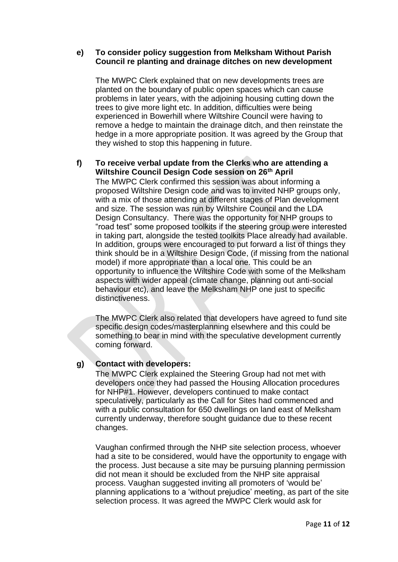#### **e) To consider policy suggestion from Melksham Without Parish Council re planting and drainage ditches on new development**

The MWPC Clerk explained that on new developments trees are planted on the boundary of public open spaces which can cause problems in later years, with the adjoining housing cutting down the trees to give more light etc. In addition, difficulties were being experienced in Bowerhill where Wiltshire Council were having to remove a hedge to maintain the drainage ditch, and then reinstate the hedge in a more appropriate position. It was agreed by the Group that they wished to stop this happening in future.

#### **f) To receive verbal update from the Clerks who are attending a Wiltshire Council Design Code session on 26th April**

The MWPC Clerk confirmed this session was about informing a proposed Wiltshire Design code and was to invited NHP groups only, with a mix of those attending at different stages of Plan development and size. The session was run by Wiltshire Council and the LDA Design Consultancy. There was the opportunity for NHP groups to "road test" some proposed toolkits if the steering group were interested in taking part, alongside the tested toolkits Place already had available. In addition, groups were encouraged to put forward a list of things they think should be in a Wiltshire Design Code, (if missing from the national model) if more appropriate than a local one. This could be an opportunity to influence the Wiltshire Code with some of the Melksham aspects with wider appeal (climate change, planning out anti-social behaviour etc), and leave the Melksham NHP one just to specific distinctiveness

The MWPC Clerk also related that developers have agreed to fund site specific design codes/masterplanning elsewhere and this could be something to bear in mind with the speculative development currently coming forward.

#### **g) Contact with developers:**

The MWPC Clerk explained the Steering Group had not met with developers once they had passed the Housing Allocation procedures for NHP#1. However, developers continued to make contact speculatively, particularly as the Call for Sites had commenced and with a public consultation for 650 dwellings on land east of Melksham currently underway, therefore sought guidance due to these recent changes.

Vaughan confirmed through the NHP site selection process, whoever had a site to be considered, would have the opportunity to engage with the process. Just because a site may be pursuing planning permission did not mean it should be excluded from the NHP site appraisal process. Vaughan suggested inviting all promoters of 'would be' planning applications to a 'without prejudice' meeting, as part of the site selection process. It was agreed the MWPC Clerk would ask for